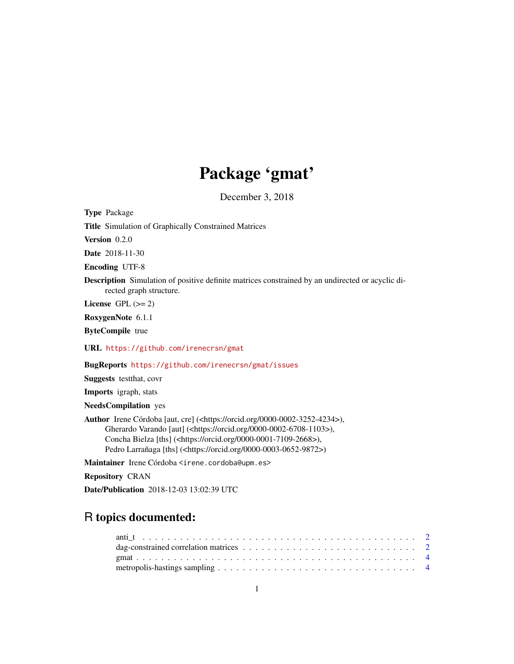## Package 'gmat'

December 3, 2018

Type Package Title Simulation of Graphically Constrained Matrices Version 0.2.0 Date 2018-11-30 Encoding UTF-8 Description Simulation of positive definite matrices constrained by an undirected or acyclic directed graph structure. License GPL  $(>= 2)$ RoxygenNote 6.1.1 ByteCompile true URL <https://github.com/irenecrsn/gmat> BugReports <https://github.com/irenecrsn/gmat/issues>

Suggests testthat, covr

Imports igraph, stats

NeedsCompilation yes

Author Irene Córdoba [aut, cre] (<https://orcid.org/0000-0002-3252-4234>), Gherardo Varando [aut] (<https://orcid.org/0000-0002-6708-1103>), Concha Bielza [ths] (<https://orcid.org/0000-0001-7109-2668>), Pedro Larrañaga [ths] (<https://orcid.org/0000-0003-0652-9872>)

Maintainer Irene Córdoba <irene.cordoba@upm.es>

Repository CRAN

Date/Publication 2018-12-03 13:02:39 UTC

### R topics documented:

| dag-constrained correlation matrices $\dots \dots \dots \dots \dots \dots \dots \dots \dots \dots \dots \dots \dots$ |  |
|----------------------------------------------------------------------------------------------------------------------|--|
|                                                                                                                      |  |
|                                                                                                                      |  |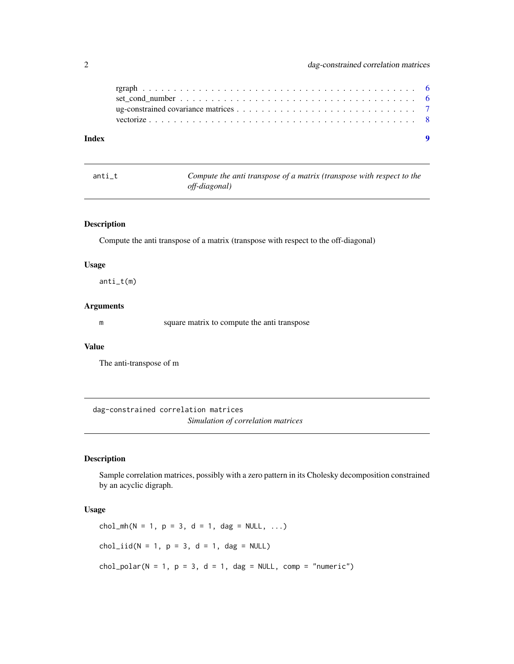<span id="page-1-0"></span>

| Index |  |
|-------|--|

| anti t | Compute the anti transpose of a matrix (transpose with respect to the |
|--------|-----------------------------------------------------------------------|
|        | <i>off-diagonal</i> )                                                 |

### Description

Compute the anti transpose of a matrix (transpose with respect to the off-diagonal)

#### Usage

anti\_t(m)

#### Arguments

m square matrix to compute the anti transpose

#### Value

The anti-transpose of m

dag-constrained correlation matrices *Simulation of correlation matrices*

#### <span id="page-1-1"></span>Description

Sample correlation matrices, possibly with a zero pattern in its Cholesky decomposition constrained by an acyclic digraph.

#### Usage

chol\_mh(N = 1, p = 3, d = 1, dag = NULL, ...)  $chol\_iid(N = 1, p = 3, d = 1, dag = NULL)$  $chol\_polar(N = 1, p = 3, d = 1, dag = NULL, comp = "numeric")$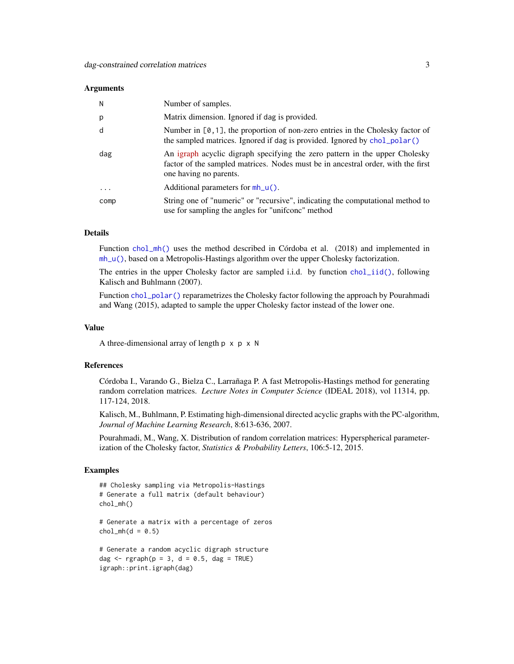#### <span id="page-2-0"></span>Arguments

| N        | Number of samples.                                                                                                                                                                        |
|----------|-------------------------------------------------------------------------------------------------------------------------------------------------------------------------------------------|
| p        | Matrix dimension. Ignored if dag is provided.                                                                                                                                             |
| d        | Number in $[0, 1]$ , the proportion of non-zero entries in the Cholesky factor of<br>the sampled matrices. Ignored if dag is provided. Ignored by chol_polar()                            |
| dag      | An igraph acyclic digraph specifying the zero pattern in the upper Cholesky<br>factor of the sampled matrices. Nodes must be in ancestral order, with the first<br>one having no parents. |
| $\cdots$ | Additional parameters for $mh_u()$ .                                                                                                                                                      |
| comp     | String one of "numeric" or "recursive", indicating the computational method to<br>use for sampling the angles for "unifronc" method                                                       |

#### Details

Function [chol\\_mh\(\)](#page-1-1) uses the method described in Córdoba et al. (2018) and implemented in [mh\\_u\(\)](#page-3-1), based on a Metropolis-Hastings algorithm over the upper Cholesky factorization.

The entries in the upper Cholesky factor are sampled i.i.d. by function [chol\\_iid\(\)](#page-1-1), following Kalisch and Buhlmann (2007).

Function [chol\\_polar\(\)](#page-1-1) reparametrizes the Cholesky factor following the approach by Pourahmadi and Wang (2015), adapted to sample the upper Cholesky factor instead of the lower one.

#### Value

A three-dimensional array of length  $p \times p \times N$ 

#### References

Córdoba I., Varando G., Bielza C., Larrañaga P. A fast Metropolis-Hastings method for generating random correlation matrices. *Lecture Notes in Computer Science* (IDEAL 2018), vol 11314, pp. 117-124, 2018.

Kalisch, M., Buhlmann, P. Estimating high-dimensional directed acyclic graphs with the PC-algorithm, *Journal of Machine Learning Research*, 8:613-636, 2007.

Pourahmadi, M., Wang, X. Distribution of random correlation matrices: Hyperspherical parameterization of the Cholesky factor, *Statistics & Probability Letters*, 106:5-12, 2015.

#### Examples

```
## Cholesky sampling via Metropolis-Hastings
# Generate a full matrix (default behaviour)
chol_mh()
# Generate a matrix with a percentage of zeros
chol_mh(d = 0.5)# Generate a random acyclic digraph structure
```

```
dag \leq rgraph(p = 3, d = 0.5, dag = TRUE)
igraph::print.igraph(dag)
```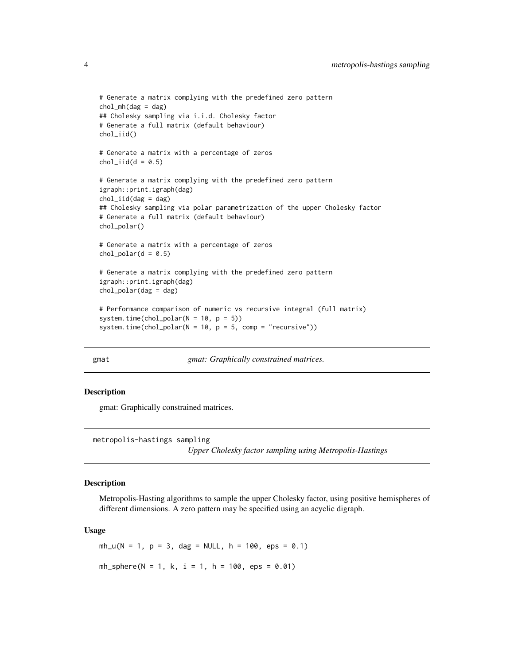```
# Generate a matrix complying with the predefined zero pattern
chol_mh(dag = dag)## Cholesky sampling via i.i.d. Cholesky factor
# Generate a full matrix (default behaviour)
chol_iid()
# Generate a matrix with a percentage of zeros
chol\_iid(d = 0.5)# Generate a matrix complying with the predefined zero pattern
igraph::print.igraph(dag)
chol\_iid(dag = dag)## Cholesky sampling via polar parametrization of the upper Cholesky factor
# Generate a full matrix (default behaviour)
chol_polar()
# Generate a matrix with a percentage of zeros
chol\_polar(d = 0.5)# Generate a matrix complying with the predefined zero pattern
igraph::print.igraph(dag)
chol_polar(dag = dag)
# Performance comparison of numeric vs recursive integral (full matrix)
system.time(chol_polar(N = 10, p = 5))
system.time(chol_polar(N = 10, p = 5, comp = "recursive"))
```
gmat *gmat: Graphically constrained matrices.*

#### Description

gmat: Graphically constrained matrices.

metropolis-hastings sampling *Upper Cholesky factor sampling using Metropolis-Hastings*

### <span id="page-3-1"></span>Description

Metropolis-Hasting algorithms to sample the upper Cholesky factor, using positive hemispheres of different dimensions. A zero pattern may be specified using an acyclic digraph.

#### Usage

 $mh_u(N = 1, p = 3, dag = NULL, h = 100,eps = 0.1)$  $mh_sphere(N = 1, k, i = 1, h = 100,eps = 0.01)$ 

<span id="page-3-0"></span>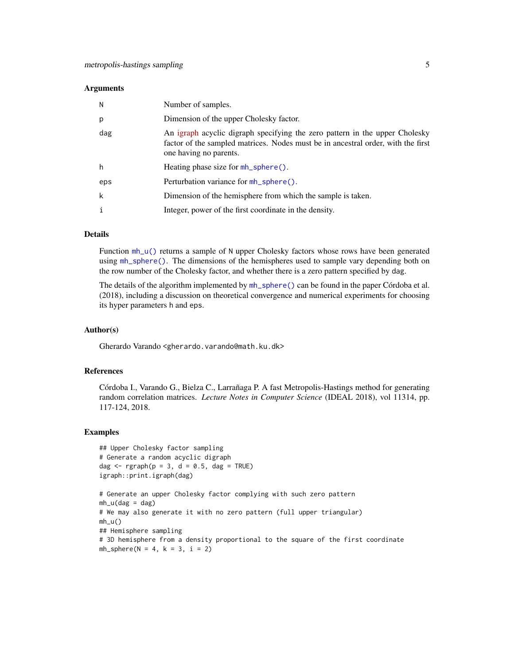#### <span id="page-4-0"></span>**Arguments**

| N   | Number of samples.                                                                                                                                                                        |
|-----|-------------------------------------------------------------------------------------------------------------------------------------------------------------------------------------------|
| p   | Dimension of the upper Cholesky factor.                                                                                                                                                   |
| dag | An igraph acyclic digraph specifying the zero pattern in the upper Cholesky<br>factor of the sampled matrices. Nodes must be in ancestral order, with the first<br>one having no parents. |
| h   | Heating phase size for mh_sphere().                                                                                                                                                       |
| eps | Perturbation variance for $mh$ sphere().                                                                                                                                                  |
| k   | Dimension of the hemisphere from which the sample is taken.                                                                                                                               |
|     | Integer, power of the first coordinate in the density.                                                                                                                                    |

#### Details

Function mh<sub>\_u</sub>() returns a sample of N upper Cholesky factors whose rows have been generated using [mh\\_sphere\(\)](#page-3-1). The dimensions of the hemispheres used to sample vary depending both on the row number of the Cholesky factor, and whether there is a zero pattern specified by dag.

The details of the algorithm implemented by [mh\\_sphere\(\)](#page-3-1) can be found in the paper Córdoba et al. (2018), including a discussion on theoretical convergence and numerical experiments for choosing its hyper parameters h and eps.

#### Author(s)

Gherardo Varando <gherardo.varando@math.ku.dk>

#### References

Córdoba I., Varando G., Bielza C., Larrañaga P. A fast Metropolis-Hastings method for generating random correlation matrices. *Lecture Notes in Computer Science* (IDEAL 2018), vol 11314, pp. 117-124, 2018.

#### Examples

```
## Upper Cholesky factor sampling
# Generate a random acyclic digraph
dag \leq rgraph(p = 3, d = 0.5, dag = TRUE)
igraph::print.igraph(dag)
```

```
# Generate an upper Cholesky factor complying with such zero pattern
mh_u(dag = dag)# We may also generate it with no zero pattern (full upper triangular)
mh_u()## Hemisphere sampling
# 3D hemisphere from a density proportional to the square of the first coordinate
mh_sphere(N = 4, k = 3, i = 2)
```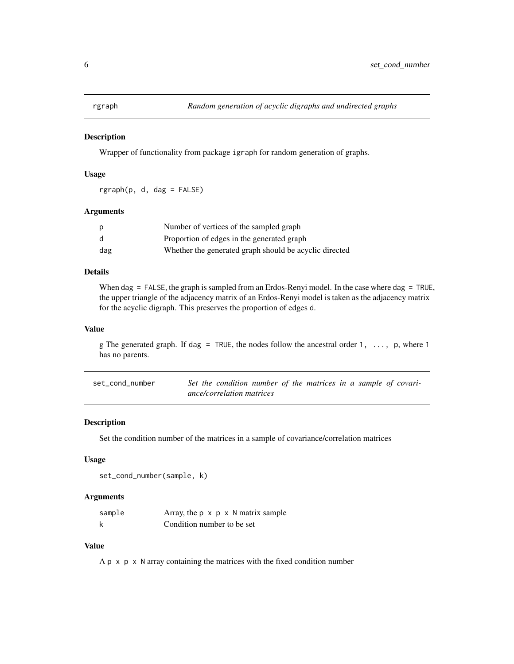<span id="page-5-0"></span>

#### Description

Wrapper of functionality from package igraph for random generation of graphs.

#### Usage

rgraph(p, d, dag = FALSE)

#### Arguments

| p   | Number of vertices of the sampled graph                |
|-----|--------------------------------------------------------|
| d   | Proportion of edges in the generated graph             |
| dag | Whether the generated graph should be acyclic directed |

#### Details

When dag = FALSE, the graph is sampled from an Erdos-Renyi model. In the case where dag = TRUE, the upper triangle of the adjacency matrix of an Erdos-Renyi model is taken as the adjacency matrix for the acyclic digraph. This preserves the proportion of edges d.

#### Value

g The generated graph. If dag = TRUE, the nodes follow the ancestral order 1,  $\dots$ , p, where 1 has no parents.

| set cond number | Set the condition number of the matrices in a sample of covari- |  |  |  |  |
|-----------------|-----------------------------------------------------------------|--|--|--|--|
|                 | ance/correlation matrices                                       |  |  |  |  |

#### Description

Set the condition number of the matrices in a sample of covariance/correlation matrices

#### Usage

```
set_cond_number(sample, k)
```
#### Arguments

| sample | Array, the $p \times p \times N$ matrix sample |
|--------|------------------------------------------------|
|        | Condition number to be set                     |

#### Value

 $A p \times p \times N$  array containing the matrices with the fixed condition number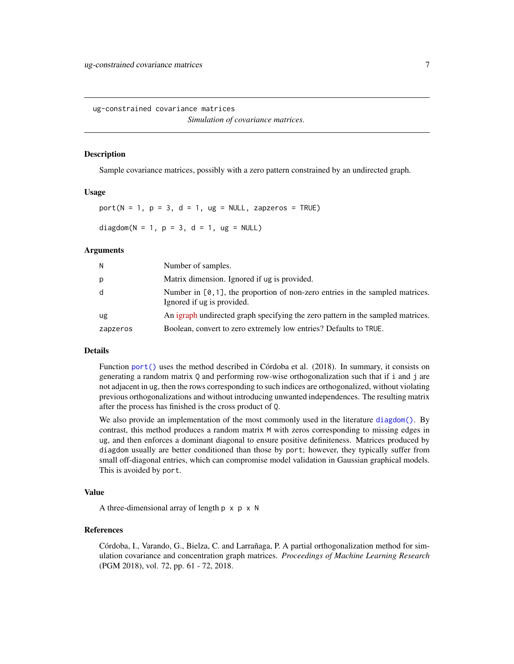<span id="page-6-0"></span>ug-constrained covariance matrices *Simulation of covariance matrices.*

#### <span id="page-6-1"></span>**Description**

Sample covariance matrices, possibly with a zero pattern constrained by an undirected graph.

#### Usage

 $port(N = 1, p = 3, d = 1, ug = NULL, zapzeros = TRUE)$ diagdom( $N = 1$ ,  $p = 3$ ,  $d = 1$ ,  $ug = NULL$ )

#### Arguments

| N        | Number of samples.                                                                                             |
|----------|----------------------------------------------------------------------------------------------------------------|
| р        | Matrix dimension. Ignored if ug is provided.                                                                   |
| d        | Number in $[0, 1]$ , the proportion of non-zero entries in the sampled matrices.<br>Ignored if ug is provided. |
| ug       | An igraph undirected graph specifying the zero pattern in the sampled matrices.                                |
| zapzeros | Boolean, convert to zero extremely low entries? Defaults to TRUE.                                              |

### Details

Function [port\(\)](#page-6-1) uses the method described in Córdoba et al. (2018). In summary, it consists on generating a random matrix Q and performing row-wise orthogonalization such that if i and j are not adjacent in ug, then the rows corresponding to such indices are orthogonalized, without violating previous orthogonalizations and without introducing unwanted independences. The resulting matrix after the process has finished is the cross product of Q.

We also provide an implementation of the most commonly used in the literature [diagdom\(\)](#page-6-1). By contrast, this method produces a random matrix M with zeros corresponding to missing edges in ug, and then enforces a dominant diagonal to ensure positive definiteness. Matrices produced by diagdom usually are better conditioned than those by port; however, they typically suffer from small off-diagonal entries, which can compromise model validation in Gaussian graphical models. This is avoided by port.

#### Value

A three-dimensional array of length  $p \times p \times N$ 

#### References

Córdoba, I., Varando, G., Bielza, C. and Larrañaga, P. A partial orthogonalization method for simulation covariance and concentration graph matrices. *Proceedings of Machine Learning Research* (PGM 2018), vol. 72, pp. 61 - 72, 2018.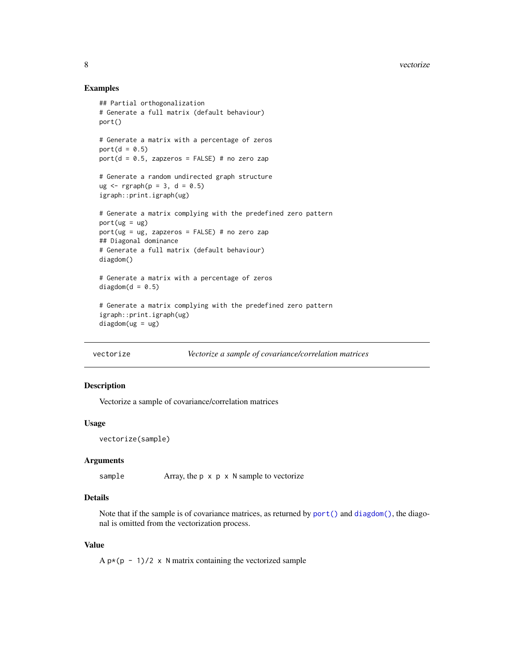#### Examples

```
## Partial orthogonalization
# Generate a full matrix (default behaviour)
port()
# Generate a matrix with a percentage of zeros
port(d = 0.5)port(d = 0.5, zapzeros = FALSE) # no zero zap
# Generate a random undirected graph structure
ug < - rgraph(p = 3, d = 0.5)
igraph::print.igraph(ug)
# Generate a matrix complying with the predefined zero pattern
port(ug = ug)port(ug = ug, zapzeros = FALSE) # no zero zap
## Diagonal dominance
# Generate a full matrix (default behaviour)
diagdom()
# Generate a matrix with a percentage of zeros
diagdom(d = 0.5)# Generate a matrix complying with the predefined zero pattern
igraph::print.igraph(ug)
diagdom(ug = ug)
```
vectorize *Vectorize a sample of covariance/correlation matrices*

#### Description

Vectorize a sample of covariance/correlation matrices

#### Usage

```
vectorize(sample)
```
#### Arguments

```
sample Array, the p x p x N sample to vectorize
```
#### Details

Note that if the sample is of covariance matrices, as returned by [port\(\)](#page-6-1) and [diagdom\(\)](#page-6-1), the diagonal is omitted from the vectorization process.

### Value

A  $p*(p - 1)/2 \times N$  matrix containing the vectorized sample

<span id="page-7-0"></span>